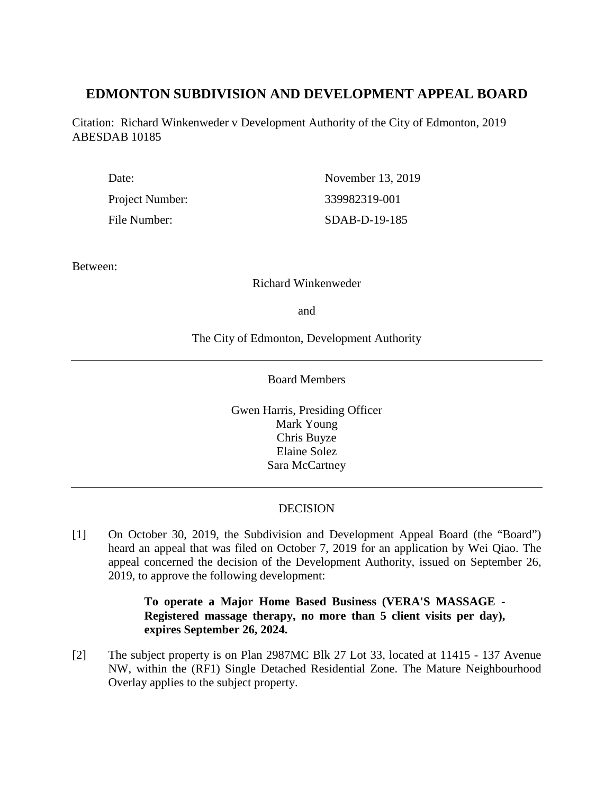# **EDMONTON SUBDIVISION AND DEVELOPMENT APPEAL BOARD**

Citation: Richard Winkenweder v Development Authority of the City of Edmonton, 2019 ABESDAB 10185

| Date:           | November 13, 2019 |
|-----------------|-------------------|
| Project Number: | 339982319-001     |
| File Number:    | SDAB-D-19-185     |

Between:

# Richard Winkenweder

and

The City of Edmonton, Development Authority

Board Members

Gwen Harris, Presiding Officer Mark Young Chris Buyze Elaine Solez Sara McCartney

# **DECISION**

[1] On October 30, 2019, the Subdivision and Development Appeal Board (the "Board") heard an appeal that was filed on October 7, 2019 for an application by Wei Qiao. The appeal concerned the decision of the Development Authority, issued on September 26, 2019, to approve the following development:

# **To operate a Major Home Based Business (VERA'S MASSAGE - Registered massage therapy, no more than 5 client visits per day), expires September 26, 2024.**

[2] The subject property is on Plan 2987MC Blk 27 Lot 33, located at 11415 - 137 Avenue NW, within the (RF1) Single Detached Residential Zone. The Mature Neighbourhood Overlay applies to the subject property.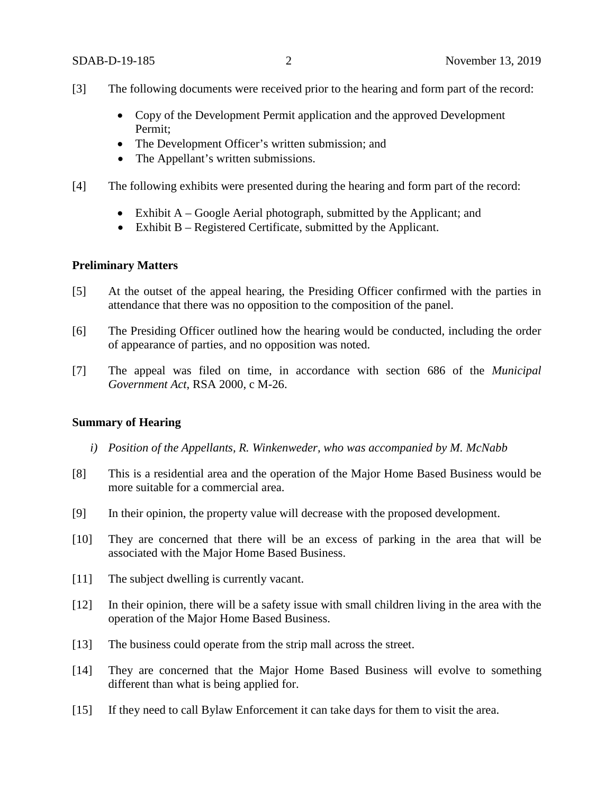- [3] The following documents were received prior to the hearing and form part of the record:
	- Copy of the Development Permit application and the approved Development Permit;
	- The Development Officer's written submission; and
	- The Appellant's written submissions.
- [4] The following exhibits were presented during the hearing and form part of the record:
	- Exhibit A Google Aerial photograph, submitted by the Applicant; and
	- Exhibit B Registered Certificate, submitted by the Applicant.

# **Preliminary Matters**

- [5] At the outset of the appeal hearing, the Presiding Officer confirmed with the parties in attendance that there was no opposition to the composition of the panel.
- [6] The Presiding Officer outlined how the hearing would be conducted, including the order of appearance of parties, and no opposition was noted.
- [7] The appeal was filed on time, in accordance with section 686 of the *Municipal Government Act*, RSA 2000, c M-26.

### **Summary of Hearing**

- *i) Position of the Appellants, R. Winkenweder, who was accompanied by M. McNabb*
- [8] This is a residential area and the operation of the Major Home Based Business would be more suitable for a commercial area.
- [9] In their opinion, the property value will decrease with the proposed development.
- [10] They are concerned that there will be an excess of parking in the area that will be associated with the Major Home Based Business.
- [11] The subject dwelling is currently vacant.
- [12] In their opinion, there will be a safety issue with small children living in the area with the operation of the Major Home Based Business.
- [13] The business could operate from the strip mall across the street.
- [14] They are concerned that the Major Home Based Business will evolve to something different than what is being applied for.
- [15] If they need to call Bylaw Enforcement it can take days for them to visit the area.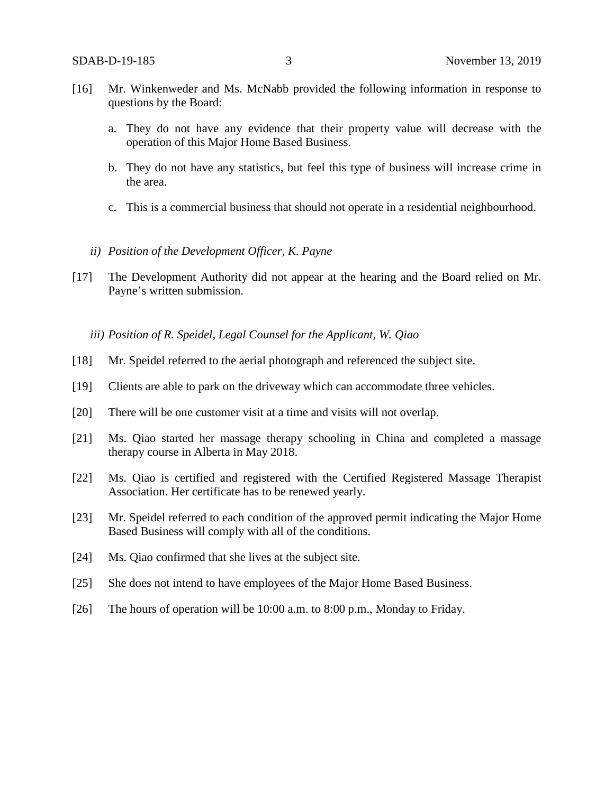- [16] Mr. Winkenweder and Ms. McNabb provided the following information in response to questions by the Board:
	- a. They do not have any evidence that their property value will decrease with the operation of this Major Home Based Business.
	- b. They do not have any statistics, but feel this type of business will increase crime in the area.
	- c. This is a commercial business that should not operate in a residential neighbourhood.
	- *ii) Position of the Development Officer, K. Payne*
- [17] The Development Authority did not appear at the hearing and the Board relied on Mr. Payne's written submission.

*iii) Position of R. Speidel, Legal Counsel for the Applicant, W. Qiao* 

- [18] Mr. Speidel referred to the aerial photograph and referenced the subject site.
- [19] Clients are able to park on the driveway which can accommodate three vehicles.
- [20] There will be one customer visit at a time and visits will not overlap.
- [21] Ms. Qiao started her massage therapy schooling in China and completed a massage therapy course in Alberta in May 2018.
- [22] Ms. Qiao is certified and registered with the Certified Registered Massage Therapist Association. Her certificate has to be renewed yearly.
- [23] Mr. Speidel referred to each condition of the approved permit indicating the Major Home Based Business will comply with all of the conditions.
- [24] Ms. Qiao confirmed that she lives at the subject site.
- [25] She does not intend to have employees of the Major Home Based Business.
- [26] The hours of operation will be 10:00 a.m. to 8:00 p.m., Monday to Friday.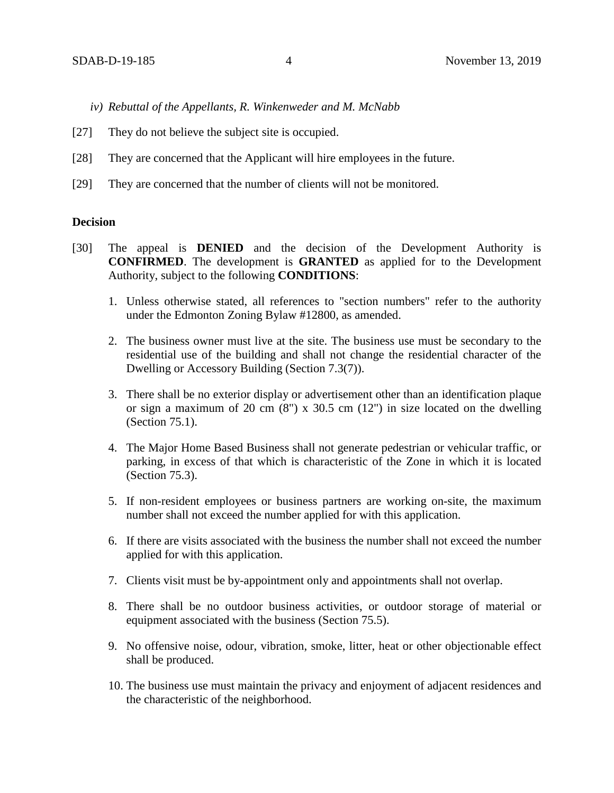- *iv) Rebuttal of the Appellants, R. Winkenweder and M. McNabb*
- [27] They do not believe the subject site is occupied.
- [28] They are concerned that the Applicant will hire employees in the future.
- [29] They are concerned that the number of clients will not be monitored.

# **Decision**

- [30] The appeal is **DENIED** and the decision of the Development Authority is **CONFIRMED**. The development is **GRANTED** as applied for to the Development Authority, subject to the following **CONDITIONS**:
	- 1. Unless otherwise stated, all references to "section numbers" refer to the authority under the Edmonton Zoning Bylaw #12800, as amended.
	- 2. The business owner must live at the site. The business use must be secondary to the residential use of the building and shall not change the residential character of the Dwelling or Accessory Building (Section 7.3(7)).
	- 3. There shall be no exterior display or advertisement other than an identification plaque or sign a maximum of 20 cm  $(8)$  x 30.5 cm  $(12)$  in size located on the dwelling (Section 75.1).
	- 4. The Major Home Based Business shall not generate pedestrian or vehicular traffic, or parking, in excess of that which is characteristic of the Zone in which it is located (Section 75.3).
	- 5. If non-resident employees or business partners are working on-site, the maximum number shall not exceed the number applied for with this application.
	- 6. If there are visits associated with the business the number shall not exceed the number applied for with this application.
	- 7. Clients visit must be by-appointment only and appointments shall not overlap.
	- 8. There shall be no outdoor business activities, or outdoor storage of material or equipment associated with the business (Section 75.5).
	- 9. No offensive noise, odour, vibration, smoke, litter, heat or other objectionable effect shall be produced.
	- 10. The business use must maintain the privacy and enjoyment of adjacent residences and the characteristic of the neighborhood.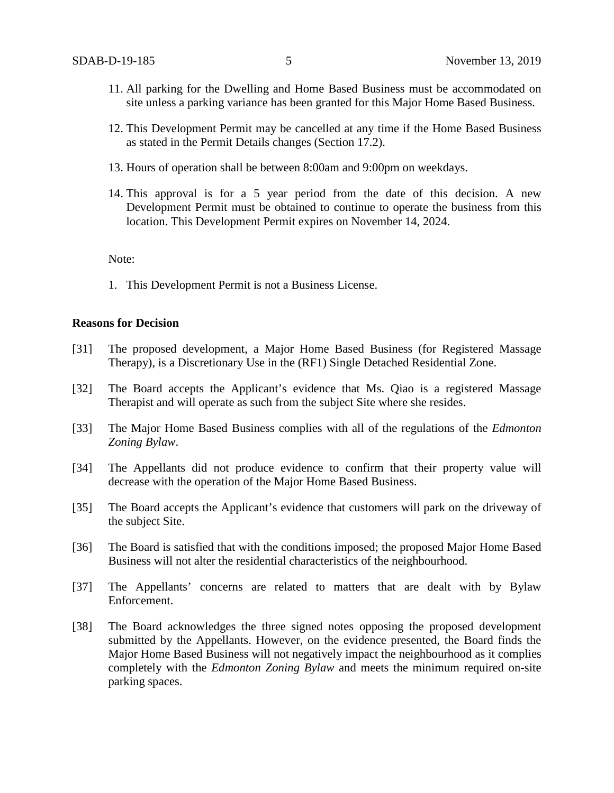- 11. All parking for the Dwelling and Home Based Business must be accommodated on site unless a parking variance has been granted for this Major Home Based Business.
- 12. This Development Permit may be cancelled at any time if the Home Based Business as stated in the Permit Details changes (Section 17.2).
- 13. Hours of operation shall be between 8:00am and 9:00pm on weekdays.
- 14. This approval is for a 5 year period from the date of this decision. A new Development Permit must be obtained to continue to operate the business from this location. This Development Permit expires on November 14, 2024.

Note:

1. This Development Permit is not a Business License.

### **Reasons for Decision**

- [31] The proposed development, a Major Home Based Business (for Registered Massage Therapy), is a Discretionary Use in the (RF1) Single Detached Residential Zone.
- [32] The Board accepts the Applicant's evidence that Ms. Qiao is a registered Massage Therapist and will operate as such from the subject Site where she resides.
- [33] The Major Home Based Business complies with all of the regulations of the *Edmonton Zoning Bylaw*.
- [34] The Appellants did not produce evidence to confirm that their property value will decrease with the operation of the Major Home Based Business.
- [35] The Board accepts the Applicant's evidence that customers will park on the driveway of the subject Site.
- [36] The Board is satisfied that with the conditions imposed; the proposed Major Home Based Business will not alter the residential characteristics of the neighbourhood.
- [37] The Appellants' concerns are related to matters that are dealt with by Bylaw Enforcement.
- [38] The Board acknowledges the three signed notes opposing the proposed development submitted by the Appellants. However, on the evidence presented, the Board finds the Major Home Based Business will not negatively impact the neighbourhood as it complies completely with the *Edmonton Zoning Bylaw* and meets the minimum required on-site parking spaces.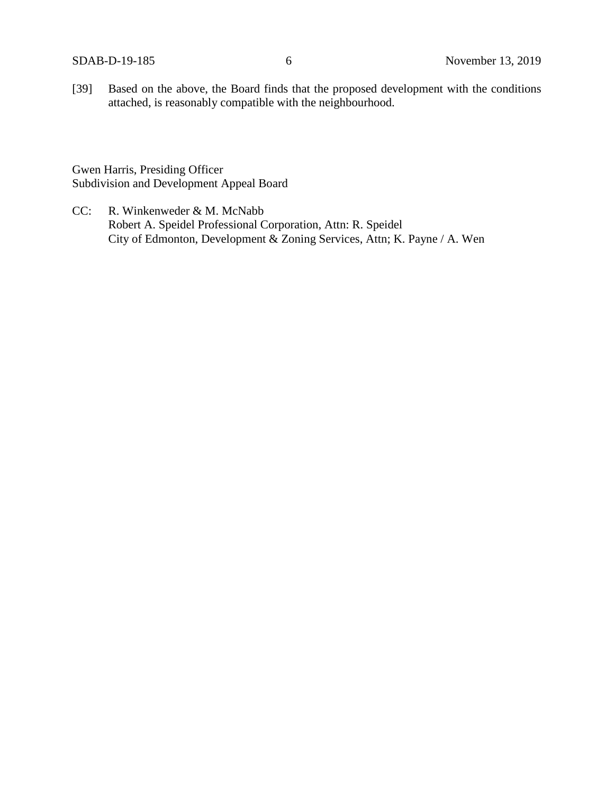[39] Based on the above, the Board finds that the proposed development with the conditions attached, is reasonably compatible with the neighbourhood.

Gwen Harris, Presiding Officer Subdivision and Development Appeal Board

CC: R. Winkenweder & M. McNabb Robert A. Speidel Professional Corporation, Attn: R. Speidel City of Edmonton, Development & Zoning Services, Attn; K. Payne / A. Wen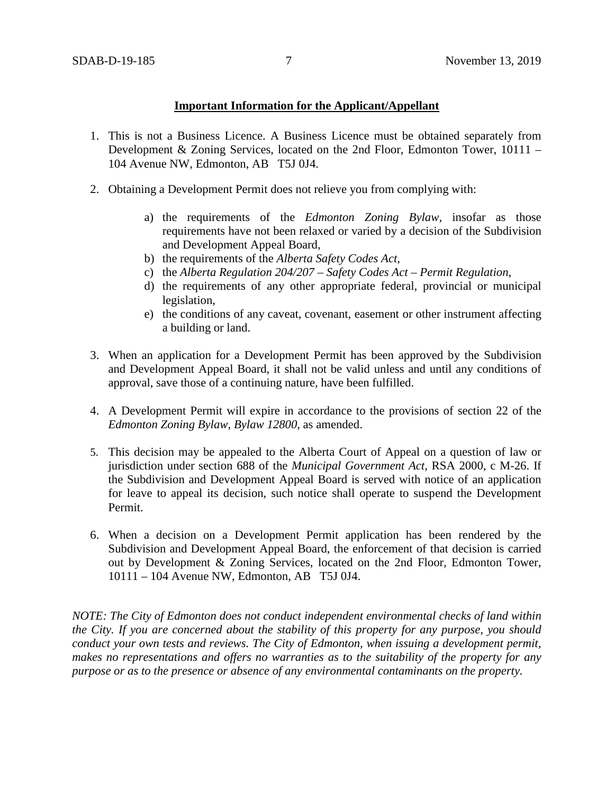# **Important Information for the Applicant/Appellant**

- 1. This is not a Business Licence. A Business Licence must be obtained separately from Development & Zoning Services, located on the 2nd Floor, Edmonton Tower,  $10111 -$ 104 Avenue NW, Edmonton, AB T5J 0J4.
- 2. Obtaining a Development Permit does not relieve you from complying with:
	- a) the requirements of the *Edmonton Zoning Bylaw*, insofar as those requirements have not been relaxed or varied by a decision of the Subdivision and Development Appeal Board,
	- b) the requirements of the *Alberta Safety Codes Act*,
	- c) the *Alberta Regulation 204/207 – Safety Codes Act – Permit Regulation*,
	- d) the requirements of any other appropriate federal, provincial or municipal legislation,
	- e) the conditions of any caveat, covenant, easement or other instrument affecting a building or land.
- 3. When an application for a Development Permit has been approved by the Subdivision and Development Appeal Board, it shall not be valid unless and until any conditions of approval, save those of a continuing nature, have been fulfilled.
- 4. A Development Permit will expire in accordance to the provisions of section 22 of the *Edmonton Zoning Bylaw, Bylaw 12800*, as amended.
- 5. This decision may be appealed to the Alberta Court of Appeal on a question of law or jurisdiction under section 688 of the *Municipal Government Act*, RSA 2000, c M-26. If the Subdivision and Development Appeal Board is served with notice of an application for leave to appeal its decision, such notice shall operate to suspend the Development Permit.
- 6. When a decision on a Development Permit application has been rendered by the Subdivision and Development Appeal Board, the enforcement of that decision is carried out by Development & Zoning Services, located on the 2nd Floor, Edmonton Tower, 10111 – 104 Avenue NW, Edmonton, AB T5J 0J4.

*NOTE: The City of Edmonton does not conduct independent environmental checks of land within the City. If you are concerned about the stability of this property for any purpose, you should conduct your own tests and reviews. The City of Edmonton, when issuing a development permit, makes no representations and offers no warranties as to the suitability of the property for any purpose or as to the presence or absence of any environmental contaminants on the property.*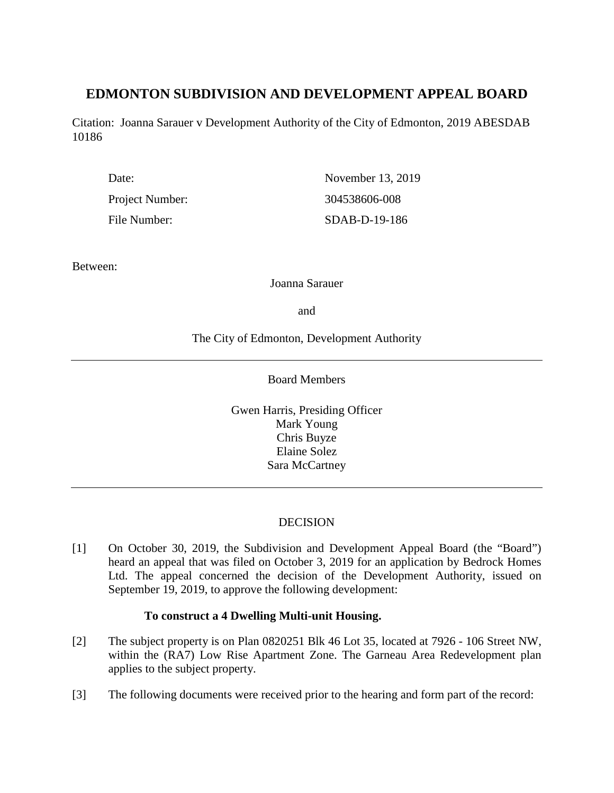# **EDMONTON SUBDIVISION AND DEVELOPMENT APPEAL BOARD**

Citation: Joanna Sarauer v Development Authority of the City of Edmonton, 2019 ABESDAB 10186

| Date:           | November 13, 2019 |
|-----------------|-------------------|
| Project Number: | 304538606-008     |
| File Number:    | SDAB-D-19-186     |

Between:

Joanna Sarauer

and

The City of Edmonton, Development Authority

Board Members

Gwen Harris, Presiding Officer Mark Young Chris Buyze Elaine Solez Sara McCartney

# DECISION

[1] On October 30, 2019, the Subdivision and Development Appeal Board (the "Board") heard an appeal that was filed on October 3, 2019 for an application by Bedrock Homes Ltd. The appeal concerned the decision of the Development Authority, issued on September 19, 2019, to approve the following development:

# **To construct a 4 Dwelling Multi-unit Housing.**

- [2] The subject property is on Plan 0820251 Blk 46 Lot 35, located at 7926 106 Street NW, within the (RA7) Low Rise Apartment Zone. The Garneau Area Redevelopment plan applies to the subject property.
- [3] The following documents were received prior to the hearing and form part of the record: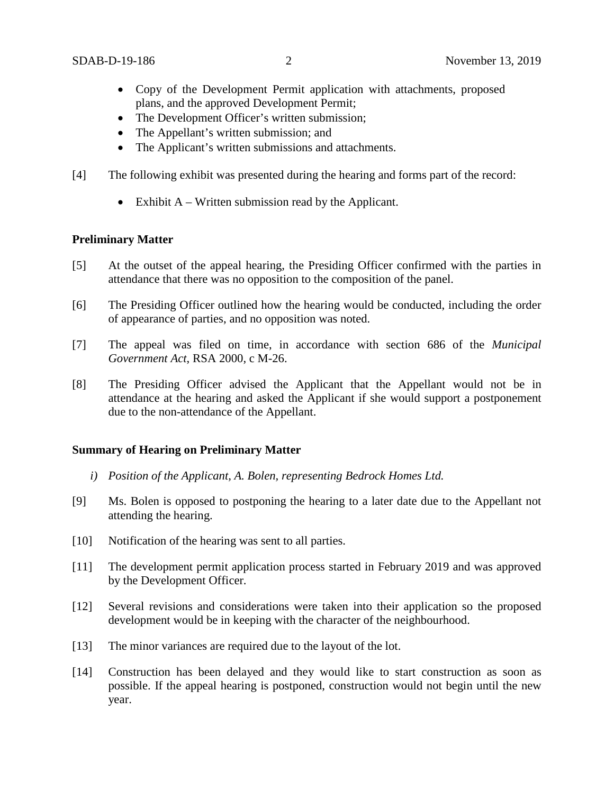- Copy of the Development Permit application with attachments, proposed plans, and the approved Development Permit;
- The Development Officer's written submission;
- The Appellant's written submission; and
- The Applicant's written submissions and attachments.
- [4] The following exhibit was presented during the hearing and forms part of the record:
	- Exhibit A Written submission read by the Applicant.

# **Preliminary Matter**

- [5] At the outset of the appeal hearing, the Presiding Officer confirmed with the parties in attendance that there was no opposition to the composition of the panel.
- [6] The Presiding Officer outlined how the hearing would be conducted, including the order of appearance of parties, and no opposition was noted.
- [7] The appeal was filed on time, in accordance with section 686 of the *Municipal Government Act*, RSA 2000, c M-26.
- [8] The Presiding Officer advised the Applicant that the Appellant would not be in attendance at the hearing and asked the Applicant if she would support a postponement due to the non-attendance of the Appellant.

# **Summary of Hearing on Preliminary Matter**

- *i) Position of the Applicant, A. Bolen, representing Bedrock Homes Ltd.*
- [9] Ms. Bolen is opposed to postponing the hearing to a later date due to the Appellant not attending the hearing.
- [10] Notification of the hearing was sent to all parties.
- [11] The development permit application process started in February 2019 and was approved by the Development Officer.
- [12] Several revisions and considerations were taken into their application so the proposed development would be in keeping with the character of the neighbourhood.
- [13] The minor variances are required due to the layout of the lot.
- [14] Construction has been delayed and they would like to start construction as soon as possible. If the appeal hearing is postponed, construction would not begin until the new year.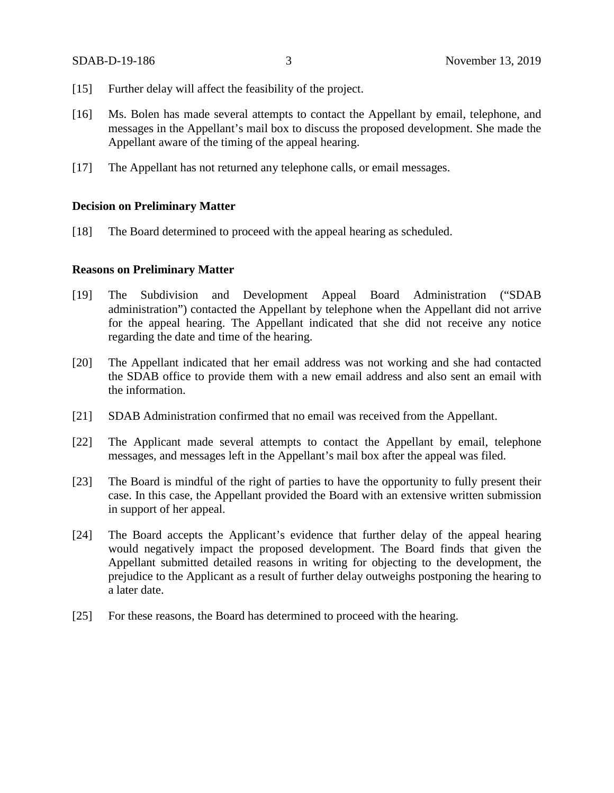- [15] Further delay will affect the feasibility of the project.
- [16] Ms. Bolen has made several attempts to contact the Appellant by email, telephone, and messages in the Appellant's mail box to discuss the proposed development. She made the Appellant aware of the timing of the appeal hearing.
- [17] The Appellant has not returned any telephone calls, or email messages.

### **Decision on Preliminary Matter**

[18] The Board determined to proceed with the appeal hearing as scheduled.

### **Reasons on Preliminary Matter**

- [19] The Subdivision and Development Appeal Board Administration ("SDAB administration") contacted the Appellant by telephone when the Appellant did not arrive for the appeal hearing. The Appellant indicated that she did not receive any notice regarding the date and time of the hearing.
- [20] The Appellant indicated that her email address was not working and she had contacted the SDAB office to provide them with a new email address and also sent an email with the information.
- [21] SDAB Administration confirmed that no email was received from the Appellant.
- [22] The Applicant made several attempts to contact the Appellant by email, telephone messages, and messages left in the Appellant's mail box after the appeal was filed.
- [23] The Board is mindful of the right of parties to have the opportunity to fully present their case. In this case, the Appellant provided the Board with an extensive written submission in support of her appeal.
- [24] The Board accepts the Applicant's evidence that further delay of the appeal hearing would negatively impact the proposed development. The Board finds that given the Appellant submitted detailed reasons in writing for objecting to the development, the prejudice to the Applicant as a result of further delay outweighs postponing the hearing to a later date.
- [25] For these reasons, the Board has determined to proceed with the hearing.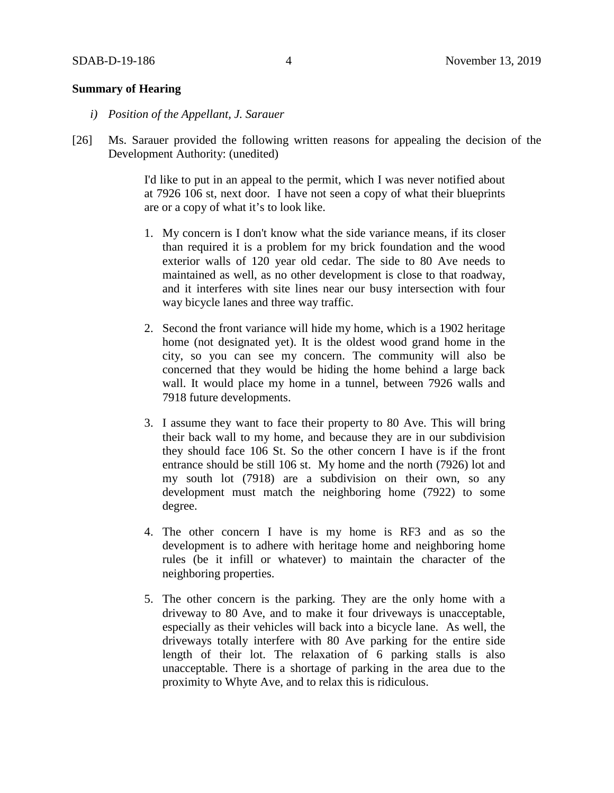# **Summary of Hearing**

- *i) Position of the Appellant, J. Sarauer*
- [26] Ms. Sarauer provided the following written reasons for appealing the decision of the Development Authority: (unedited)

I'd like to put in an appeal to the permit, which I was never notified about at 7926 106 st, next door. I have not seen a copy of what their blueprints are or a copy of what it's to look like.

- 1. My concern is I don't know what the side variance means, if its closer than required it is a problem for my brick foundation and the wood exterior walls of 120 year old cedar. The side to 80 Ave needs to maintained as well, as no other development is close to that roadway, and it interferes with site lines near our busy intersection with four way bicycle lanes and three way traffic.
- 2. Second the front variance will hide my home, which is a 1902 heritage home (not designated yet). It is the oldest wood grand home in the city, so you can see my concern. The community will also be concerned that they would be hiding the home behind a large back wall. It would place my home in a tunnel, between 7926 walls and 7918 future developments.
- 3. I assume they want to face their property to 80 Ave. This will bring their back wall to my home, and because they are in our subdivision they should face 106 St. So the other concern I have is if the front entrance should be still 106 st. My home and the north (7926) lot and my south lot (7918) are a subdivision on their own, so any development must match the neighboring home (7922) to some degree.
- 4. The other concern I have is my home is RF3 and as so the development is to adhere with heritage home and neighboring home rules (be it infill or whatever) to maintain the character of the neighboring properties.
- 5. The other concern is the parking. They are the only home with a driveway to 80 Ave, and to make it four driveways is unacceptable, especially as their vehicles will back into a bicycle lane. As well, the driveways totally interfere with 80 Ave parking for the entire side length of their lot. The relaxation of 6 parking stalls is also unacceptable. There is a shortage of parking in the area due to the proximity to Whyte Ave, and to relax this is ridiculous.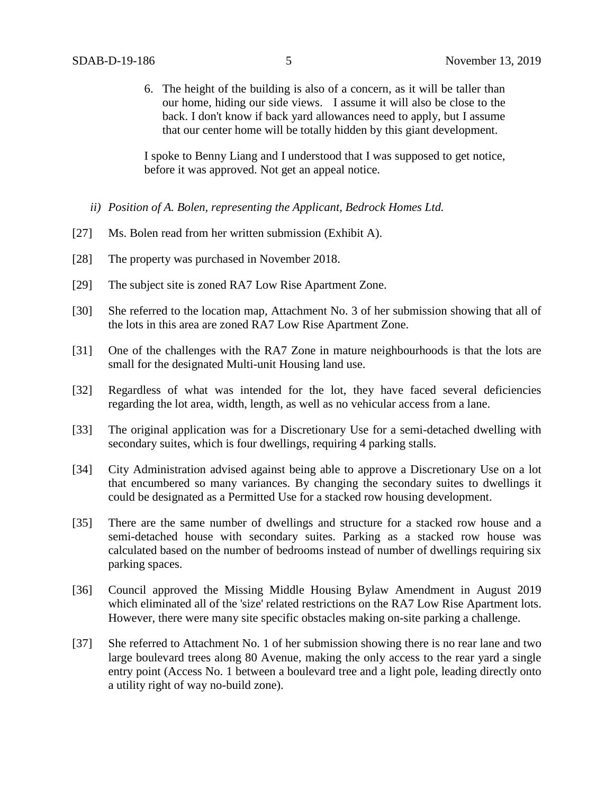6. The height of the building is also of a concern, as it will be taller than our home, hiding our side views. I assume it will also be close to the back. I don't know if back yard allowances need to apply, but I assume that our center home will be totally hidden by this giant development.

I spoke to Benny Liang and I understood that I was supposed to get notice, before it was approved. Not get an appeal notice.

- *ii) Position of A. Bolen, representing the Applicant, Bedrock Homes Ltd.*
- [27] Ms. Bolen read from her written submission (Exhibit A).
- [28] The property was purchased in November 2018.
- [29] The subject site is zoned RA7 Low Rise Apartment Zone.
- [30] She referred to the location map, Attachment No. 3 of her submission showing that all of the lots in this area are zoned RA7 Low Rise Apartment Zone.
- [31] One of the challenges with the RA7 Zone in mature neighbourhoods is that the lots are small for the designated Multi-unit Housing land use.
- [32] Regardless of what was intended for the lot, they have faced several deficiencies regarding the lot area, width, length, as well as no vehicular access from a lane.
- [33] The original application was for a Discretionary Use for a semi-detached dwelling with secondary suites, which is four dwellings, requiring 4 parking stalls.
- [34] City Administration advised against being able to approve a Discretionary Use on a lot that encumbered so many variances. By changing the secondary suites to dwellings it could be designated as a Permitted Use for a stacked row housing development.
- [35] There are the same number of dwellings and structure for a stacked row house and a semi-detached house with secondary suites. Parking as a stacked row house was calculated based on the number of bedrooms instead of number of dwellings requiring six parking spaces.
- [36] Council approved the Missing Middle Housing Bylaw Amendment in August 2019 which eliminated all of the 'size' related restrictions on the RA7 Low Rise Apartment lots. However, there were many site specific obstacles making on-site parking a challenge.
- [37] She referred to Attachment No. 1 of her submission showing there is no rear lane and two large boulevard trees along 80 Avenue, making the only access to the rear yard a single entry point (Access No. 1 between a boulevard tree and a light pole, leading directly onto a utility right of way no-build zone).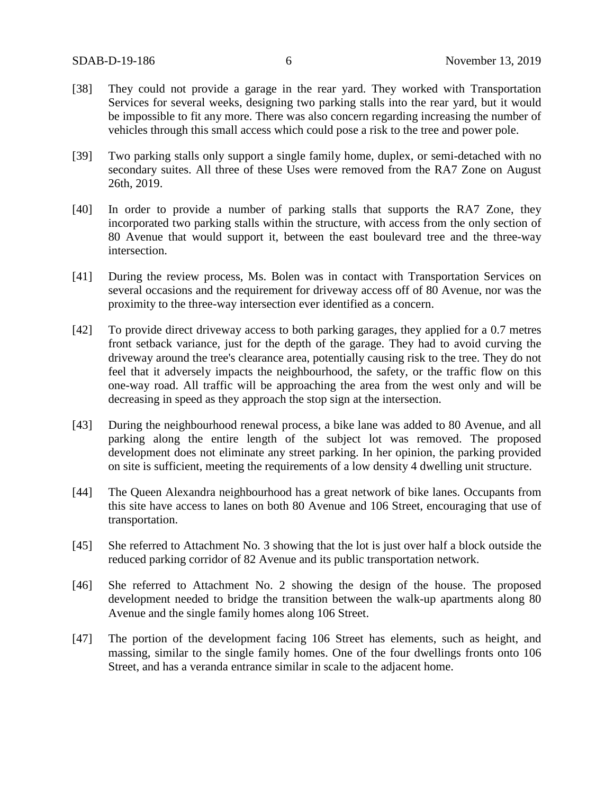- [38] They could not provide a garage in the rear yard. They worked with Transportation Services for several weeks, designing two parking stalls into the rear yard, but it would be impossible to fit any more. There was also concern regarding increasing the number of vehicles through this small access which could pose a risk to the tree and power pole.
- [39] Two parking stalls only support a single family home, duplex, or semi-detached with no secondary suites. All three of these Uses were removed from the RA7 Zone on August 26th, 2019.
- [40] In order to provide a number of parking stalls that supports the RA7 Zone, they incorporated two parking stalls within the structure, with access from the only section of 80 Avenue that would support it, between the east boulevard tree and the three-way intersection.
- [41] During the review process, Ms. Bolen was in contact with Transportation Services on several occasions and the requirement for driveway access off of 80 Avenue, nor was the proximity to the three-way intersection ever identified as a concern.
- [42] To provide direct driveway access to both parking garages, they applied for a 0.7 metres front setback variance, just for the depth of the garage. They had to avoid curving the driveway around the tree's clearance area, potentially causing risk to the tree. They do not feel that it adversely impacts the neighbourhood, the safety, or the traffic flow on this one-way road. All traffic will be approaching the area from the west only and will be decreasing in speed as they approach the stop sign at the intersection.
- [43] During the neighbourhood renewal process, a bike lane was added to 80 Avenue, and all parking along the entire length of the subject lot was removed. The proposed development does not eliminate any street parking. In her opinion, the parking provided on site is sufficient, meeting the requirements of a low density 4 dwelling unit structure.
- [44] The Queen Alexandra neighbourhood has a great network of bike lanes. Occupants from this site have access to lanes on both 80 Avenue and 106 Street, encouraging that use of transportation.
- [45] She referred to Attachment No. 3 showing that the lot is just over half a block outside the reduced parking corridor of 82 Avenue and its public transportation network.
- [46] She referred to Attachment No. 2 showing the design of the house. The proposed development needed to bridge the transition between the walk-up apartments along 80 Avenue and the single family homes along 106 Street.
- [47] The portion of the development facing 106 Street has elements, such as height, and massing, similar to the single family homes. One of the four dwellings fronts onto 106 Street, and has a veranda entrance similar in scale to the adjacent home.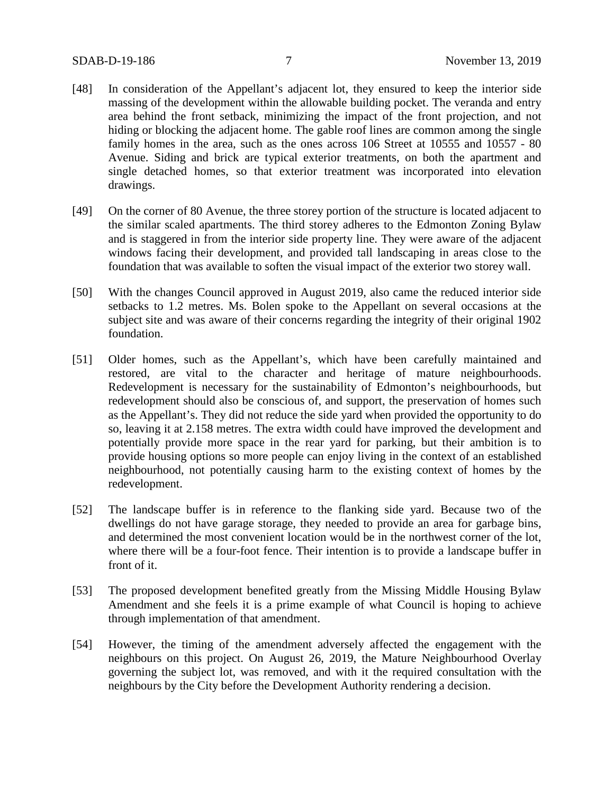- [48] In consideration of the Appellant's adjacent lot, they ensured to keep the interior side massing of the development within the allowable building pocket. The veranda and entry area behind the front setback, minimizing the impact of the front projection, and not hiding or blocking the adjacent home. The gable roof lines are common among the single family homes in the area, such as the ones across 106 Street at 10555 and 10557 - 80 Avenue. Siding and brick are typical exterior treatments, on both the apartment and single detached homes, so that exterior treatment was incorporated into elevation drawings.
- [49] On the corner of 80 Avenue, the three storey portion of the structure is located adjacent to the similar scaled apartments. The third storey adheres to the Edmonton Zoning Bylaw and is staggered in from the interior side property line. They were aware of the adjacent windows facing their development, and provided tall landscaping in areas close to the foundation that was available to soften the visual impact of the exterior two storey wall.
- [50] With the changes Council approved in August 2019, also came the reduced interior side setbacks to 1.2 metres. Ms. Bolen spoke to the Appellant on several occasions at the subject site and was aware of their concerns regarding the integrity of their original 1902 foundation.
- [51] Older homes, such as the Appellant's, which have been carefully maintained and restored, are vital to the character and heritage of mature neighbourhoods. Redevelopment is necessary for the sustainability of Edmonton's neighbourhoods, but redevelopment should also be conscious of, and support, the preservation of homes such as the Appellant's. They did not reduce the side yard when provided the opportunity to do so, leaving it at 2.158 metres. The extra width could have improved the development and potentially provide more space in the rear yard for parking, but their ambition is to provide housing options so more people can enjoy living in the context of an established neighbourhood, not potentially causing harm to the existing context of homes by the redevelopment.
- [52] The landscape buffer is in reference to the flanking side yard. Because two of the dwellings do not have garage storage, they needed to provide an area for garbage bins, and determined the most convenient location would be in the northwest corner of the lot, where there will be a four-foot fence. Their intention is to provide a landscape buffer in front of it.
- [53] The proposed development benefited greatly from the Missing Middle Housing Bylaw Amendment and she feels it is a prime example of what Council is hoping to achieve through implementation of that amendment.
- [54] However, the timing of the amendment adversely affected the engagement with the neighbours on this project. On August 26, 2019, the Mature Neighbourhood Overlay governing the subject lot, was removed, and with it the required consultation with the neighbours by the City before the Development Authority rendering a decision.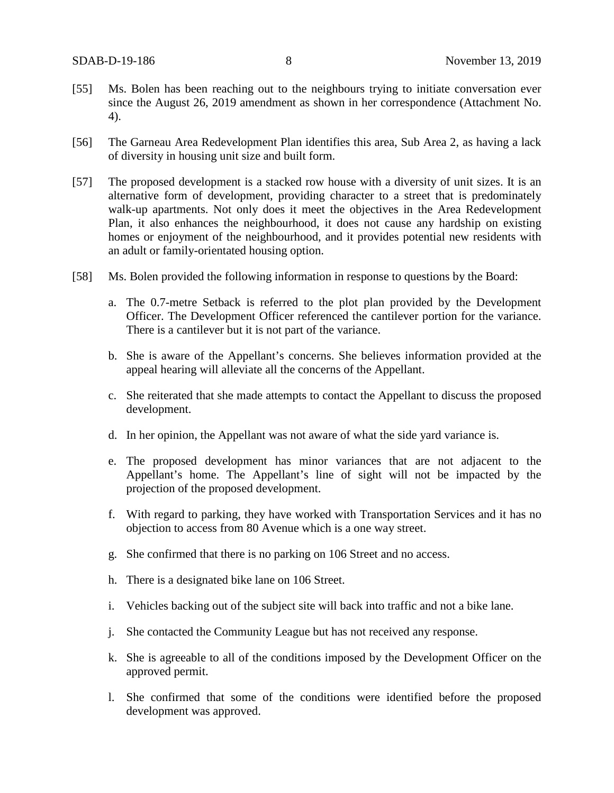- [55] Ms. Bolen has been reaching out to the neighbours trying to initiate conversation ever since the August 26, 2019 amendment as shown in her correspondence (Attachment No. 4).
- [56] The Garneau Area Redevelopment Plan identifies this area, Sub Area 2, as having a lack of diversity in housing unit size and built form.
- [57] The proposed development is a stacked row house with a diversity of unit sizes. It is an alternative form of development, providing character to a street that is predominately walk-up apartments. Not only does it meet the objectives in the Area Redevelopment Plan, it also enhances the neighbourhood, it does not cause any hardship on existing homes or enjoyment of the neighbourhood, and it provides potential new residents with an adult or family-orientated housing option.
- [58] Ms. Bolen provided the following information in response to questions by the Board:
	- a. The 0.7-metre Setback is referred to the plot plan provided by the Development Officer. The Development Officer referenced the cantilever portion for the variance. There is a cantilever but it is not part of the variance.
	- b. She is aware of the Appellant's concerns. She believes information provided at the appeal hearing will alleviate all the concerns of the Appellant.
	- c. She reiterated that she made attempts to contact the Appellant to discuss the proposed development.
	- d. In her opinion, the Appellant was not aware of what the side yard variance is.
	- e. The proposed development has minor variances that are not adjacent to the Appellant's home. The Appellant's line of sight will not be impacted by the projection of the proposed development.
	- f. With regard to parking, they have worked with Transportation Services and it has no objection to access from 80 Avenue which is a one way street.
	- g. She confirmed that there is no parking on 106 Street and no access.
	- h. There is a designated bike lane on 106 Street.
	- i. Vehicles backing out of the subject site will back into traffic and not a bike lane.
	- j. She contacted the Community League but has not received any response.
	- k. She is agreeable to all of the conditions imposed by the Development Officer on the approved permit.
	- l. She confirmed that some of the conditions were identified before the proposed development was approved.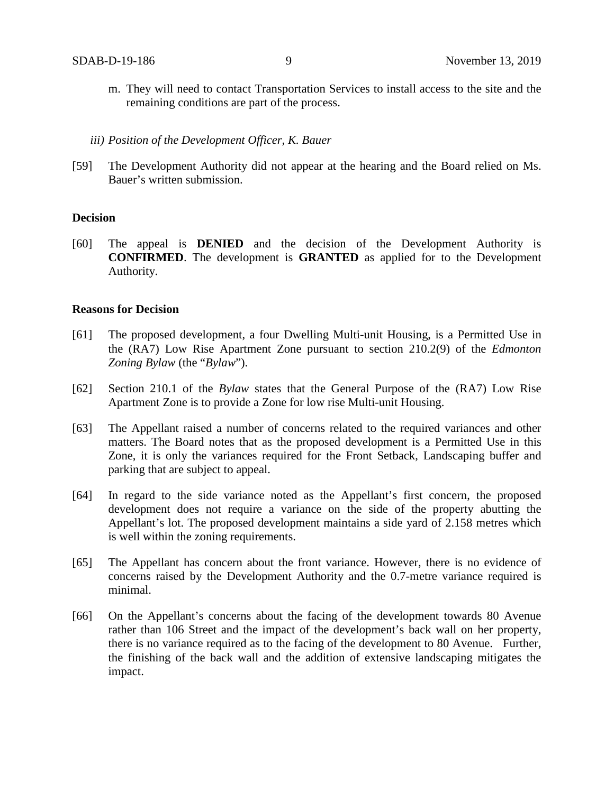- m. They will need to contact Transportation Services to install access to the site and the remaining conditions are part of the process.
- *iii) Position of the Development Officer, K. Bauer*
- [59] The Development Authority did not appear at the hearing and the Board relied on Ms. Bauer's written submission.

### **Decision**

[60] The appeal is **DENIED** and the decision of the Development Authority is **CONFIRMED**. The development is **GRANTED** as applied for to the Development Authority.

#### **Reasons for Decision**

- [61] The proposed development, a four Dwelling Multi-unit Housing, is a Permitted Use in the (RA7) Low Rise Apartment Zone pursuant to section 210.2(9) of the *Edmonton Zoning Bylaw* (the "*Bylaw*").
- [62] Section 210.1 of the *Bylaw* states that the General Purpose of the (RA7) Low Rise Apartment Zone is to provide a Zone for low rise Multi-unit Housing.
- [63] The Appellant raised a number of concerns related to the required variances and other matters. The Board notes that as the proposed development is a Permitted Use in this Zone, it is only the variances required for the Front Setback, Landscaping buffer and parking that are subject to appeal.
- [64] In regard to the side variance noted as the Appellant's first concern, the proposed development does not require a variance on the side of the property abutting the Appellant's lot. The proposed development maintains a side yard of 2.158 metres which is well within the zoning requirements.
- [65] The Appellant has concern about the front variance. However, there is no evidence of concerns raised by the Development Authority and the 0.7-metre variance required is minimal.
- [66] On the Appellant's concerns about the facing of the development towards 80 Avenue rather than 106 Street and the impact of the development's back wall on her property, there is no variance required as to the facing of the development to 80 Avenue. Further, the finishing of the back wall and the addition of extensive landscaping mitigates the impact.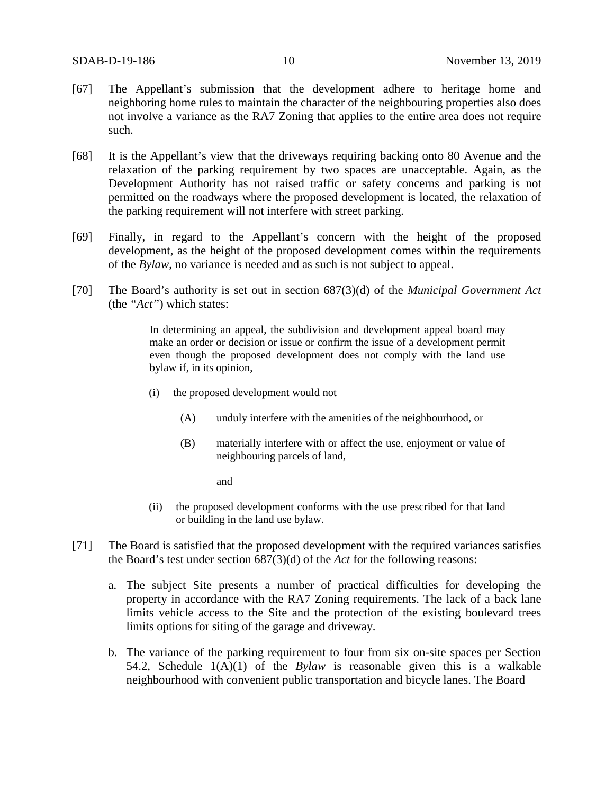- [67] The Appellant's submission that the development adhere to heritage home and neighboring home rules to maintain the character of the neighbouring properties also does not involve a variance as the RA7 Zoning that applies to the entire area does not require such.
- [68] It is the Appellant's view that the driveways requiring backing onto 80 Avenue and the relaxation of the parking requirement by two spaces are unacceptable. Again, as the Development Authority has not raised traffic or safety concerns and parking is not permitted on the roadways where the proposed development is located, the relaxation of the parking requirement will not interfere with street parking.
- [69] Finally, in regard to the Appellant's concern with the height of the proposed development, as the height of the proposed development comes within the requirements of the *Bylaw*, no variance is needed and as such is not subject to appeal.
- [70] The Board's authority is set out in section 687(3)(d) of the *Municipal Government Act*  (the *"Act"*) which states:

In determining an appeal, the subdivision and development appeal board may make an order or decision or issue or confirm the issue of a development permit even though the proposed development does not comply with the land use bylaw if, in its opinion,

- (i) the proposed development would not
	- (A) unduly interfere with the amenities of the neighbourhood, or
	- (B) materially interfere with or affect the use, enjoyment or value of neighbouring parcels of land,

and

- (ii) the proposed development conforms with the use prescribed for that land or building in the land use bylaw.
- [71] The Board is satisfied that the proposed development with the required variances satisfies the Board's test under section 687(3)(d) of the *Act* for the following reasons:
	- a. The subject Site presents a number of practical difficulties for developing the property in accordance with the RA7 Zoning requirements. The lack of a back lane limits vehicle access to the Site and the protection of the existing boulevard trees limits options for siting of the garage and driveway.
	- b. The variance of the parking requirement to four from six on-site spaces per Section 54.2, Schedule 1(A)(1) of the *Bylaw* is reasonable given this is a walkable neighbourhood with convenient public transportation and bicycle lanes. The Board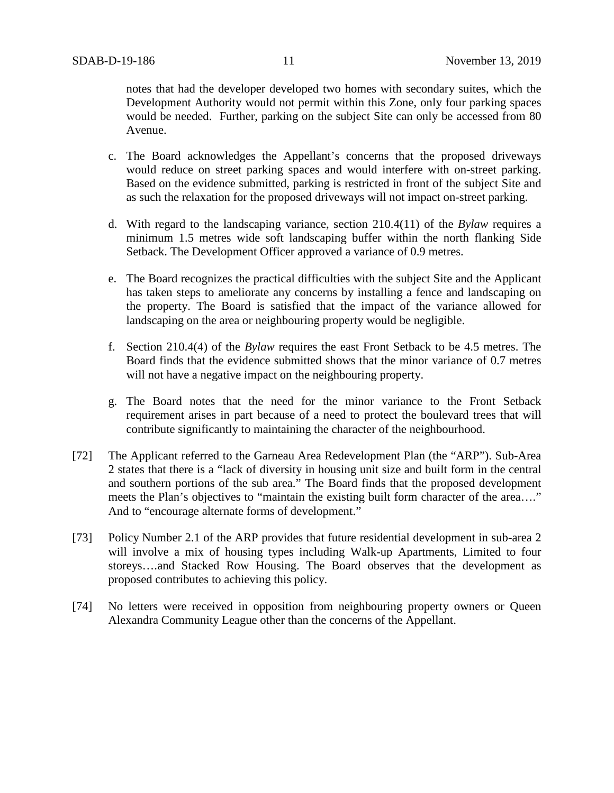notes that had the developer developed two homes with secondary suites, which the Development Authority would not permit within this Zone, only four parking spaces would be needed. Further, parking on the subject Site can only be accessed from 80 Avenue.

- c. The Board acknowledges the Appellant's concerns that the proposed driveways would reduce on street parking spaces and would interfere with on-street parking. Based on the evidence submitted, parking is restricted in front of the subject Site and as such the relaxation for the proposed driveways will not impact on-street parking.
- d. With regard to the landscaping variance, section 210.4(11) of the *Bylaw* requires a minimum 1.5 metres wide soft landscaping buffer within the north flanking Side Setback. The Development Officer approved a variance of 0.9 metres.
- e. The Board recognizes the practical difficulties with the subject Site and the Applicant has taken steps to ameliorate any concerns by installing a fence and landscaping on the property. The Board is satisfied that the impact of the variance allowed for landscaping on the area or neighbouring property would be negligible.
- f. Section 210.4(4) of the *Bylaw* requires the east Front Setback to be 4.5 metres. The Board finds that the evidence submitted shows that the minor variance of 0.7 metres will not have a negative impact on the neighbouring property.
- g. The Board notes that the need for the minor variance to the Front Setback requirement arises in part because of a need to protect the boulevard trees that will contribute significantly to maintaining the character of the neighbourhood.
- [72] The Applicant referred to the Garneau Area Redevelopment Plan (the "ARP"). Sub-Area 2 states that there is a "lack of diversity in housing unit size and built form in the central and southern portions of the sub area." The Board finds that the proposed development meets the Plan's objectives to "maintain the existing built form character of the area...." And to "encourage alternate forms of development."
- [73] Policy Number 2.1 of the ARP provides that future residential development in sub-area 2 will involve a mix of housing types including Walk-up Apartments, Limited to four storeys….and Stacked Row Housing. The Board observes that the development as proposed contributes to achieving this policy.
- [74] No letters were received in opposition from neighbouring property owners or Queen Alexandra Community League other than the concerns of the Appellant.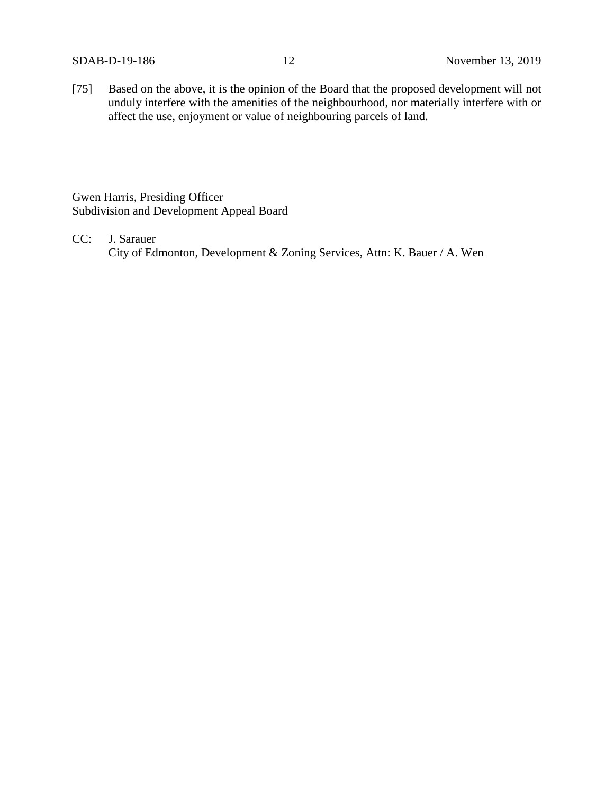[75] Based on the above, it is the opinion of the Board that the proposed development will not unduly interfere with the amenities of the neighbourhood, nor materially interfere with or affect the use, enjoyment or value of neighbouring parcels of land.

Gwen Harris, Presiding Officer Subdivision and Development Appeal Board

CC: J. Sarauer City of Edmonton, Development & Zoning Services, Attn: K. Bauer / A. Wen